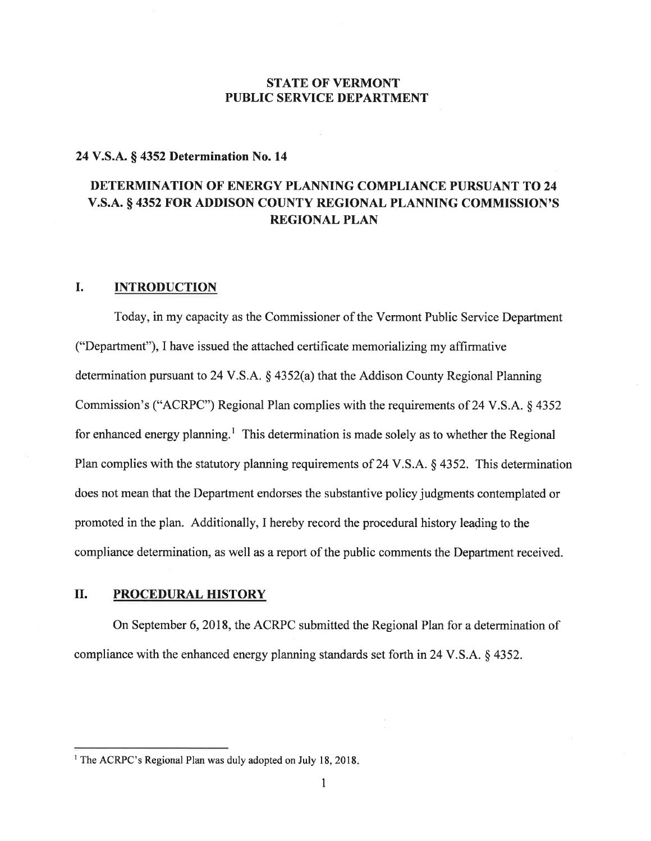## STATE OF VERMONT PUBLIC SERVICE DEPARTMENT

#### 24 V.S.A. \$ 4352 Determination No. <sup>14</sup>

# DETERMINATION OF ENERGY PLANNING COMPLIANCE PURSUANT TO 24 V.S.A. § 4352 FOR ADDISON COUNTY REGIONAL PLANNING COMMISSION'S REGIONAL PLAN

# I. INTRODUCTION

Today, in my capacity as the Commissioner of the Vermont Public Service Department ("Department"), I have issued the attached certificate memorializing my affirmative determination pursuant to 24 V.S.A. § 4352(a) that the Addison County Regional Planning Commission's ("ACRPC") Regional Plan complies with the requirements of 24 V.S.A. \$ 4352 for enhanced energy planning.<sup>1</sup> This determination is made solely as to whether the Regional Plan complies with the statutory planning requirements of 24 V.S.A. § 4352. This determination does not mean that the Department endorses the substantive policy judgments contemplated or promoted in the plan. Additionally, I hereby record the procedural history leading to the compliance determination, as well as a report of the public comments the Department received.

# IL PROCEDURAL HISTORY

On September 6, 2018, the ACRPC submitted the Regional Plan for a determination of compliance with the enhanced energy planning standards set forth in 24 V.S.A. § 4352.

<sup>&</sup>lt;sup>1</sup> The ACRPC's Regional Plan was duly adopted on July 18, 2018.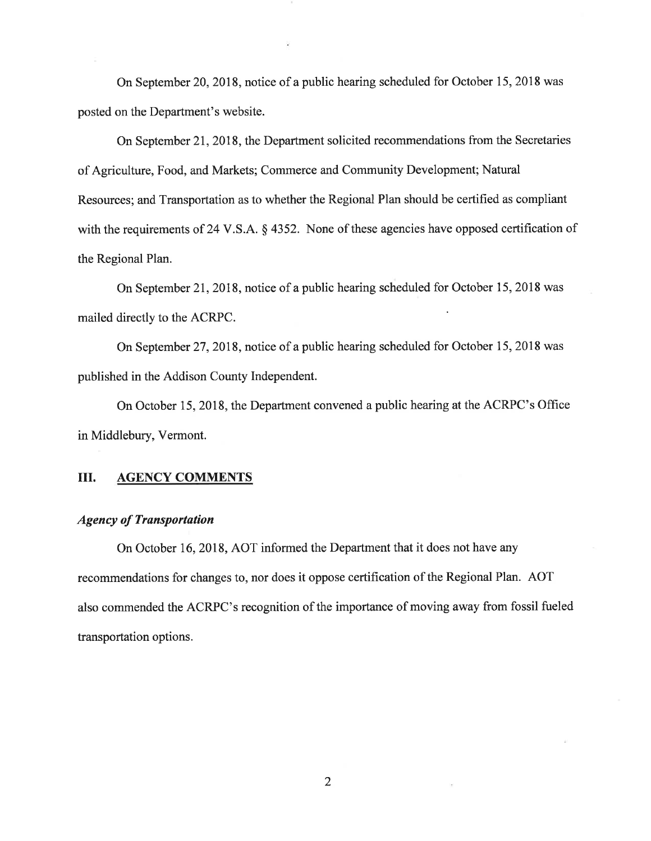On September 20,2018, notice of a public hearing scheduled for October 15, 2018 was posted on the Department's website.

On September 21,2018, the Department solicited recommendations from the Secretaries of Agriculture, Food, and Markets; Commerce and Community Development; Natural Resources; and Transportation as to whether the Regional Plan should be certified as compliant with the requirements of 24 V.S.A. § 4352. None of these agencies have opposed certification of the Regional Plan.

On September 21, 2018, notice of a public hearing scheduled for October 15, 2018 was mailed directly to the ACRPC.

On September 27, 2018, notice of a public hearing scheduled for October 15, 2018 was published in the Addison County Independent.

On October 15, 2018, the Department convened a public hearing at the ACRPC's Office in Middlebury, Vermont.

### III. AGENCY COMMENTS

### Agency of Transportation

On October 16,2018, AOT informed the Department that it does not have any recommendations for changes to, nor does it oppose certification of the Regional Plan. AOT also commended the ACRPC's recognition of the importance of moving away from fossil fueled transportation options.

2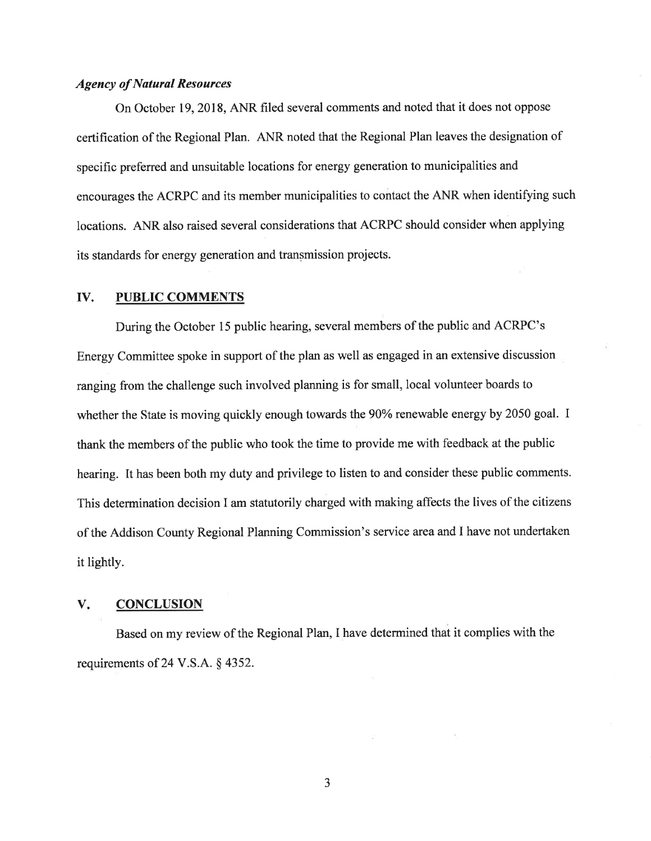#### Agency of Natural Resources

On October 19,2018, ANR filed several comments and noted that it does not oppose certification of the Regional Plan. ANR noted that the Regional Plan leaves the designation of specific preferred and unsuitable locations for energy generation to municipalities and encourages the ACRPC and its member municipalities to contact the ANR when identifying such locations. ANR also raised several considerations that ACRPC should consider when applying its standards for energy generation and transmission projects.

#### IV. PUBLIC COMMENTS

During the October 15 public hearing, several members of the public and ACRPC's Energy Committee spoke in support of the plan as well as engaged in an extensive discussion ranging from the challenge such involved planning is for small, local volunteer boards to whether the State is moving quickly enough towards the 90% renewable energy by 2050 goal. I thank the members of the public who took the time to provide me with feedback at the public hearing. It has been both my duty and privilege to listen to and consider these public comments. This determination decision I am statutorily charged with making affects the lives of the citizens of the Addison County Regional Planning Commission's seryice area and I have not undertaken it lightly.

#### **CONCLUSION**  $V_{\star}$

Based on my review of the Regional Plan, I have determined that it complies with the requirements of 24 V.S.A. S 4352.

J